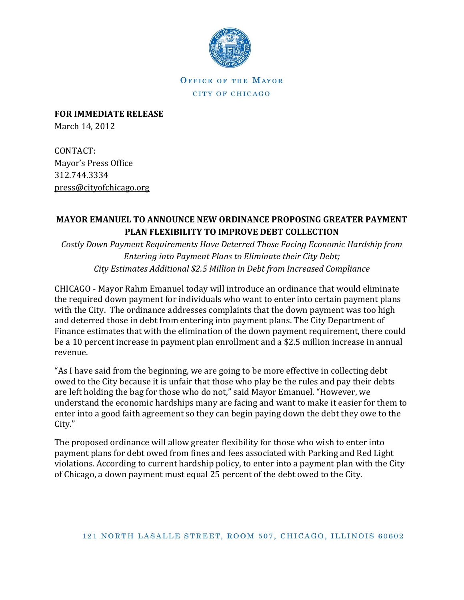

OFFICE OF THE MAYOR CITY OF CHICAGO

**FOR IMMEDIATE RELEASE** March 14, 2012

CONTACT: Mayor's Press Office 312.744.3334 [press@cityofchicago.org](mailto:press@cityofchicago.org)

## **MAYOR EMANUEL TO ANNOUNCE NEW ORDINANCE PROPOSING GREATER PAYMENT PLAN FLEXIBILITY TO IMPROVE DEBT COLLECTION**

*Costly Down Payment Requirements Have Deterred Those Facing Economic Hardship from Entering into Payment Plans to Eliminate their City Debt; City Estimates Additional \$2.5 Million in Debt from Increased Compliance*

CHICAGO - Mayor Rahm Emanuel today will introduce an ordinance that would eliminate the required down payment for individuals who want to enter into certain payment plans with the City. The ordinance addresses complaints that the down payment was too high and deterred those in debt from entering into payment plans. The City Department of Finance estimates that with the elimination of the down payment requirement, there could be a 10 percent increase in payment plan enrollment and a \$2.5 million increase in annual revenue.

"As I have said from the beginning, we are going to be more effective in collecting debt owed to the City because it is unfair that those who play be the rules and pay their debts are left holding the bag for those who do not," said Mayor Emanuel. "However, we understand the economic hardships many are facing and want to make it easier for them to enter into a good faith agreement so they can begin paying down the debt they owe to the City."

The proposed ordinance will allow greater flexibility for those who wish to enter into payment plans for debt owed from fines and fees associated with Parking and Red Light violations. According to current hardship policy, to enter into a payment plan with the City of Chicago, a down payment must equal 25 percent of the debt owed to the City.